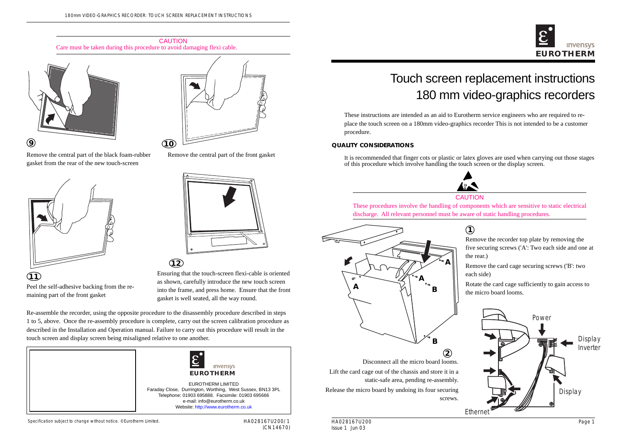# Touch screen replacement instructions 180 mm video-graphics recorders

#### Specification subject to change without notice. ©Eurotherm Limited.

HA028167U200/1 (CN14670) These instructions are intended as an aid to Eurotherm service engineers who are required to replace the touch screen on a 180mm video-graphics recorder This is not intended to be a customer procedure.

### **QUALITY CONSIDERATIONS**

It is recommended that finger cots or plastic or latex gloves are used when carrying out those stages of this procedure which involve handling the touch screen or the display screen.



Re-assemble the recorder, using the opposite procedure to the disassembly procedure described in steps 1 to 5, above. Once the re-assembly procedure is complete, carry out the screen calibration procedure as described in the Installation and Operation manual. Failure to carry out this procedure will result in the touch screen and display screen being misaligned relative to one another.







- Remove the recorder top plate by removing the five securing screws ('A': Two each side and one at the rear.)
- Remove the card cage securing screws ('B': two each side)
- Rotate the card cage sufficiently to gain access to the micro board looms.

# **1**

Disconnect all the micro board looms.

Lift the card cage out of the chassis and store it in a static-safe area, pending re-assembly.

Release the micro board by undoing its four securing screws.



Remove the central part of the black foam-rubber gasket from the rear of the new touch-screen



Peel the self-adhesive backing from the remaining part of the front gasket





Remove the central part of the front gasket

Ensuring that the touch-screen flexi-cable is oriented as shown, carefully introduce the new touch screen into the frame, and press home. Ensure that the front gasket is well seated, all the way round.



CAUTION Care must be taken during this procedure to avoid damaging flexi cable.